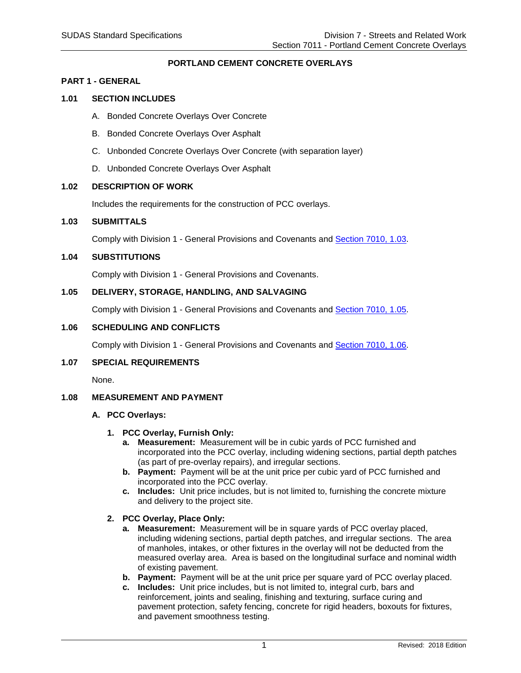# **PORTLAND CEMENT CONCRETE OVERLAYS**

#### **PART 1 - GENERAL**

# **1.01 SECTION INCLUDES**

- A. Bonded Concrete Overlays Over Concrete
- B. Bonded Concrete Overlays Over Asphalt
- C. Unbonded Concrete Overlays Over Concrete (with separation layer)
- D. Unbonded Concrete Overlays Over Asphalt

#### **1.02 DESCRIPTION OF WORK**

Includes the requirements for the construction of PCC overlays.

## **1.03 SUBMITTALS**

Comply with Division 1 - General Provisions and Covenants and [Section 7010, 1.03.](https://intrans.iastate.edu/app/uploads/sites/15/2020/02/7010.pdf)

## **1.04 SUBSTITUTIONS**

Comply with Division 1 - General Provisions and Covenants.

#### **1.05 DELIVERY, STORAGE, HANDLING, AND SALVAGING**

Comply with Division 1 - General Provisions and Covenants and [Section 7010, 1.05.](https://intrans.iastate.edu/app/uploads/sites/15/2020/02/7010.pdf)

# **1.06 SCHEDULING AND CONFLICTS**

Comply with Division 1 - General Provisions and Covenants and [Section 7010, 1.06.](https://intrans.iastate.edu/app/uploads/sites/15/2020/02/7010.pdf)

#### **1.07 SPECIAL REQUIREMENTS**

None.

# **1.08 MEASUREMENT AND PAYMENT**

#### **A. PCC Overlays:**

#### **1. PCC Overlay, Furnish Only:**

- **a. Measurement:** Measurement will be in cubic yards of PCC furnished and incorporated into the PCC overlay, including widening sections, partial depth patches (as part of pre-overlay repairs), and irregular sections.
- **b. Payment:** Payment will be at the unit price per cubic yard of PCC furnished and incorporated into the PCC overlay.
- **c. Includes:** Unit price includes, but is not limited to, furnishing the concrete mixture and delivery to the project site.

# **2. PCC Overlay, Place Only:**

- **a. Measurement:** Measurement will be in square yards of PCC overlay placed, including widening sections, partial depth patches, and irregular sections. The area of manholes, intakes, or other fixtures in the overlay will not be deducted from the measured overlay area. Area is based on the longitudinal surface and nominal width of existing pavement.
- **b. Payment:** Payment will be at the unit price per square yard of PCC overlay placed.
- **c. Includes:** Unit price includes, but is not limited to, integral curb, bars and reinforcement, joints and sealing, finishing and texturing, surface curing and pavement protection, safety fencing, concrete for rigid headers, boxouts for fixtures, and pavement smoothness testing.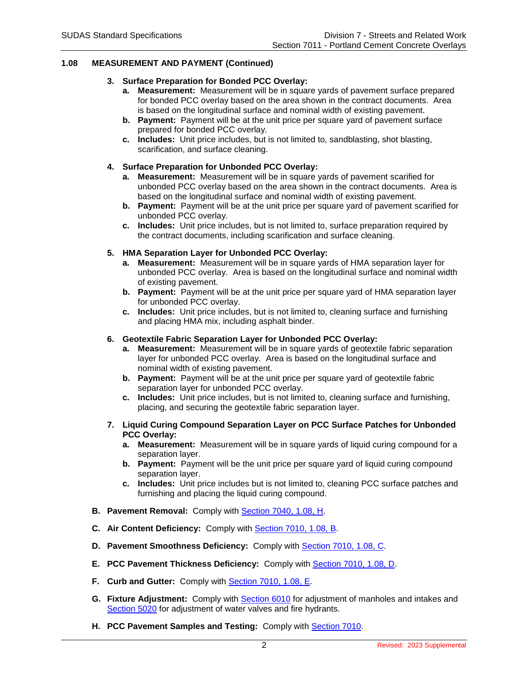## **1.08 MEASUREMENT AND PAYMENT (Continued)**

#### **3. Surface Preparation for Bonded PCC Overlay:**

- **a. Measurement:** Measurement will be in square yards of pavement surface prepared for bonded PCC overlay based on the area shown in the contract documents. Area is based on the longitudinal surface and nominal width of existing pavement.
- **b. Payment:** Payment will be at the unit price per square yard of pavement surface prepared for bonded PCC overlay.
- **c. Includes:** Unit price includes, but is not limited to, sandblasting, shot blasting, scarification, and surface cleaning.

#### **4. Surface Preparation for Unbonded PCC Overlay:**

- **a. Measurement:** Measurement will be in square yards of pavement scarified for unbonded PCC overlay based on the area shown in the contract documents. Area is based on the longitudinal surface and nominal width of existing pavement.
- **b. Payment:** Payment will be at the unit price per square yard of pavement scarified for unbonded PCC overlay.
- **c. Includes:** Unit price includes, but is not limited to, surface preparation required by the contract documents, including scarification and surface cleaning.

### **5. HMA Separation Layer for Unbonded PCC Overlay:**

- **a. Measurement:** Measurement will be in square yards of HMA separation layer for unbonded PCC overlay. Area is based on the longitudinal surface and nominal width of existing pavement.
- **b. Payment:** Payment will be at the unit price per square yard of HMA separation layer for unbonded PCC overlay.
- **c. Includes:** Unit price includes, but is not limited to, cleaning surface and furnishing and placing HMA mix, including asphalt binder.

#### **6. Geotextile Fabric Separation Layer for Unbonded PCC Overlay:**

- **a. Measurement:** Measurement will be in square yards of geotextile fabric separation layer for unbonded PCC overlay. Area is based on the longitudinal surface and nominal width of existing pavement.
- **b. Payment:** Payment will be at the unit price per square yard of geotextile fabric separation layer for unbonded PCC overlay.
- **c. Includes:** Unit price includes, but is not limited to, cleaning surface and furnishing, placing, and securing the geotextile fabric separation layer.
- **7. Liquid Curing Compound Separation Layer on PCC Surface Patches for Unbonded PCC Overlay:**
	- **a. Measurement:** Measurement will be in square yards of liquid curing compound for a separation layer.
	- **b. Payment:** Payment will be the unit price per square yard of liquid curing compound separation layer.
	- **c. Includes:** Unit price includes but is not limited to, cleaning PCC surface patches and furnishing and placing the liquid curing compound.
- **B. Pavement Removal:** Comply with [Section 7040, 1.08, H.](https://intrans.iastate.edu/app/uploads/sites/15/2020/02/7040.pdf#page=4)
- **C. Air Content Deficiency:** Comply with [Section 7010, 1.08, B.](https://intrans.iastate.edu/app/uploads/sites/15/2020/02/7010.pdf#page=2)
- **D. Pavement Smoothness Deficiency:** Comply with [Section 7010, 1.08, C.](https://intrans.iastate.edu/app/uploads/sites/15/2020/02/7010.pdf#page=2)
- **E. PCC Pavement Thickness Deficiency:** Comply with [Section 7010, 1.08, D.](https://intrans.iastate.edu/app/uploads/sites/15/2020/02/7010.pdf#page=2)
- **F. Curb and Gutter:** Comply with [Section 7010, 1.08, E.](https://intrans.iastate.edu/app/uploads/sites/15/2020/02/7010.pdf#page=2)
- **G. Fixture Adjustment:** Comply with [Section 6010](https://intrans.iastate.edu/app/uploads/sites/15/2020/02/6010.pdf) for adjustment of manholes and intakes and [Section 5020](https://intrans.iastate.edu/app/uploads/sites/15/2020/02/5020.pdf) for adjustment of water valves and fire hydrants.
- **H. PCC Pavement Samples and Testing: Comply with [Section 7010.](https://intrans.iastate.edu/app/uploads/sites/15/2020/02/7010.pdf)**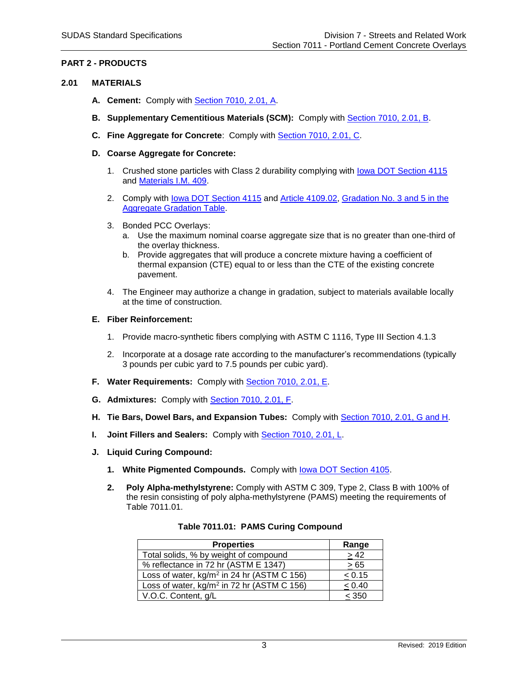# **PART 2 - PRODUCTS**

## **2.01 MATERIALS**

- **A. Cement:** Comply with [Section 7010, 2.01, A.](https://intrans.iastate.edu/app/uploads/sites/15/2020/02/7010.pdf#page=4)
- **B. Supplementary Cementitious Materials (SCM):** Comply with [Section 7010, 2.01, B.](https://intrans.iastate.edu/app/uploads/sites/15/2020/02/7010.pdf#page=4)
- **C. Fine Aggregate for Concrete**: Comply with [Section 7010, 2.01, C.](https://intrans.iastate.edu/app/uploads/sites/15/2020/02/7010.pdf#page=4)
- **D. Coarse Aggregate for Concrete:**
	- 1. Crushed stone particles with Class 2 durability complying with [Iowa DOT Section 4115](https://www.iowadot.gov/erl/current/GS/content/4115.htm) and [Materials I.M. 409.](https://www.iowadot.gov/erl/current/IM/content/409.htm)
	- 2. Comply with [Iowa DOT Section 4115](https://www.iowadot.gov/erl/current/GS/content/4115.htm) and [Article 4109.02,](https://www.iowadot.gov/erl/current/GS/content/4109.htm) [Gradation No. 3 and 5 in the](https://www.iowadot.gov/erl/current/GS/content/Appendix.htm#AggregateGradationEnglish)  [Aggregate Gradation Table.](https://www.iowadot.gov/erl/current/GS/content/Appendix.htm#AggregateGradationEnglish)
	- 3. Bonded PCC Overlays:
		- a. Use the maximum nominal coarse aggregate size that is no greater than one-third of the overlay thickness.
		- b. Provide aggregates that will produce a concrete mixture having a coefficient of thermal expansion (CTE) equal to or less than the CTE of the existing concrete pavement.
	- 4. The Engineer may authorize a change in gradation, subject to materials available locally at the time of construction.

#### **E. Fiber Reinforcement:**

- 1. Provide macro-synthetic fibers complying with ASTM C 1116, Type III Section 4.1.3
- 2. Incorporate at a dosage rate according to the manufacturer's recommendations (typically 3 pounds per cubic yard to 7.5 pounds per cubic yard).
- **F. Water Requirements:** Comply with [Section 7010, 2.01, E.](https://intrans.iastate.edu/app/uploads/sites/15/2020/02/7010.pdf#page=5)
- **G. Admixtures:** Comply with [Section 7010, 2.01, F.](https://intrans.iastate.edu/app/uploads/sites/15/2020/02/7010.pdf#page=5)
- **H. Tie Bars, Dowel Bars, and Expansion Tubes:** Comply with [Section 7010, 2.01, G and H.](https://intrans.iastate.edu/app/uploads/sites/15/2020/02/7010.pdf#page=5)
- **I. Joint Fillers and Sealers:** Comply with [Section 7010, 2.01, L.](https://intrans.iastate.edu/app/uploads/sites/15/2020/02/7010.pdf#page=5)
- **J. Liquid Curing Compound:** 
	- **1. White Pigmented Compounds.** Comply with [Iowa DOT Section 4105.](https://www.iowadot.gov/erl/current/GS/content/4105.htm)
	- **2. Poly Alpha-methylstyrene:** Comply with ASTM C 309, Type 2, Class B with 100% of the resin consisting of poly alpha-methylstyrene (PAMS) meeting the requirements of Table 7011.01.

| <b>Properties</b>                                      | Range     |
|--------------------------------------------------------|-----------|
| Total solids, % by weight of compound                  | > 42      |
| % reflectance in 72 hr (ASTM E 1347)                   | $\geq 65$ |
| Loss of water, kg/m <sup>2</sup> in 24 hr (ASTM C 156) | < 0.15    |
| Loss of water, kg/m <sup>2</sup> in 72 hr (ASTM C 156) | < 0.40    |
| V.O.C. Content, g/L                                    | < 350     |

#### **Table 7011.01: PAMS Curing Compound**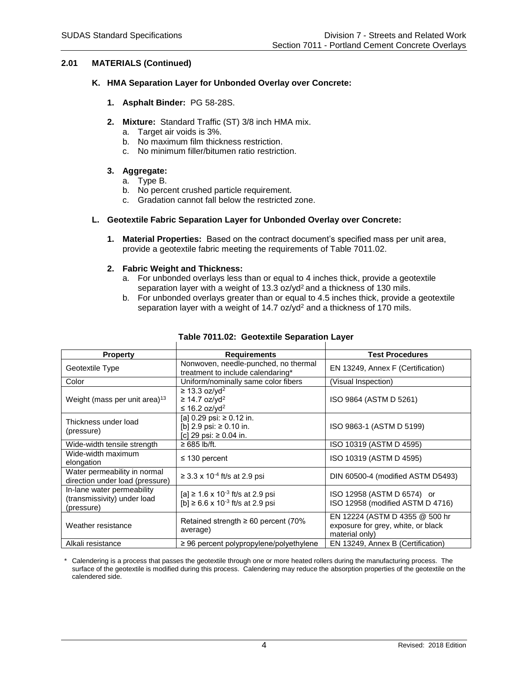## **2.01 MATERIALS (Continued)**

#### **K. HMA Separation Layer for Unbonded Overlay over Concrete:**

- **1. Asphalt Binder:** PG 58-28S.
- **2. Mixture:** Standard Traffic (ST) 3/8 inch HMA mix.
	- a. Target air voids is 3%.
	- b. No maximum film thickness restriction.
	- c. No minimum filler/bitumen ratio restriction.
- **3. Aggregate:**
	- a. Type B.
	- b. No percent crushed particle requirement.
	- c. Gradation cannot fall below the restricted zone.

#### **L. Geotextile Fabric Separation Layer for Unbonded Overlay over Concrete:**

**1. Material Properties:** Based on the contract document's specified mass per unit area, provide a geotextile fabric meeting the requirements of Table 7011.02.

#### **2. Fabric Weight and Thickness:**

- a. For unbonded overlays less than or equal to 4 inches thick, provide a geotextile separation layer with a weight of 13.3 oz/yd<sup>2</sup> and a thickness of 130 mils.
- b. For unbonded overlays greater than or equal to 4.5 inches thick, provide a geotextile separation layer with a weight of 14.7 oz/yd<sup>2</sup> and a thickness of 170 mils.

| <b>Property</b>                                                         | <b>Requirements</b>                                                                           | <b>Test Procedures</b>                                                                 |
|-------------------------------------------------------------------------|-----------------------------------------------------------------------------------------------|----------------------------------------------------------------------------------------|
| Geotextile Type                                                         | Nonwoven, needle-punched, no thermal<br>treatment to include calendaring*                     | EN 13249, Annex F (Certification)                                                      |
| Color                                                                   | Uniform/nominally same color fibers                                                           | (Visual Inspection)                                                                    |
| Weight (mass per unit area) <sup>13</sup>                               | $\geq$ 13.3 oz/yd <sup>2</sup><br>$\geq$ 14.7 oz/yd <sup>2</sup><br>≤ 16.2 oz/yd <sup>2</sup> | ISO 9864 (ASTM D 5261)                                                                 |
| Thickness under load<br>(pressure)                                      | [a] 0.29 psi: ≥ 0.12 in.<br>[b] 2.9 psi: $\geq$ 0.10 in.<br>[c] 29 psi: ≥ 0.04 in.            | ISO 9863-1 (ASTM D 5199)                                                               |
| Wide-width tensile strength                                             | $\geq 685$ lb/ft.                                                                             | ISO 10319 (ASTM D 4595)                                                                |
| Wide-width maximum<br>elongation                                        | ≤ 130 percent                                                                                 | ISO 10319 (ASTM D 4595)                                                                |
| Water permeability in normal<br>direction under load (pressure)         | ≥ 3.3 x 10 <sup>-4</sup> ft/s at 2.9 psi                                                      | DIN 60500-4 (modified ASTM D5493)                                                      |
| In-lane water permeability<br>(transmissivity) under load<br>(pressure) | [a] ≥ 1.6 x 10 <sup>-3</sup> ft/s at 2.9 psi<br>$[b] \ge 6.6 \times 10^{-3}$ ft/s at 2.9 psi  | ISO 12958 (ASTM D 6574) or<br>ISO 12958 (modified ASTM D 4716)                         |
| Weather resistance                                                      | Retained strength $\geq 60$ percent (70%<br>average)                                          | EN 12224 (ASTM D 4355 @ 500 hr<br>exposure for grey, white, or black<br>material only) |
| Alkali resistance                                                       | $\geq$ 96 percent polypropylene/polyethylene                                                  | EN 13249, Annex B (Certification)                                                      |

# **Table 7011.02: Geotextile Separation Layer**

\* Calendering is a process that passes the geotextile through one or more heated rollers during the manufacturing process. The surface of the geotextile is modified during this process. Calendering may reduce the absorption properties of the geotextile on the calendered side.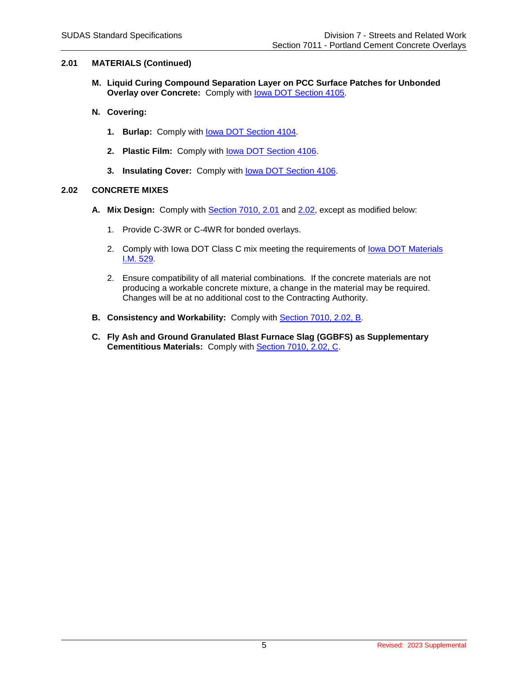# **2.01 MATERIALS (Continued)**

- **M. Liquid Curing Compound Separation Layer on PCC Surface Patches for Unbonded Overlay over Concrete: Comply with lowa DOT Section 4105.**
- **N. Covering:**
	- **1. Burlap:** Comply with [Iowa DOT Section 4104.](https://www.iowadot.gov/erl/current/GS/content/4104.htm)
	- **2. Plastic Film:** Comply with [Iowa DOT Section 4106.](https://www.iowadot.gov/erl/current/GS/content/4106.htm)
	- **3. Insulating Cover:** Comply with [Iowa DOT Section 4106.](https://www.iowadot.gov/erl/current/GS/content/4106.htm)

# **2.02 CONCRETE MIXES**

- **A. Mix Design:** Comply with [Section 7010, 2.01](https://intrans.iastate.edu/app/uploads/sites/15/2020/02/7010.pdf#page=4) and [2.02,](https://intrans.iastate.edu/app/uploads/sites/15/2020/02/7010.pdf#page=6) except as modified below:
	- 1. Provide C-3WR or C-4WR for bonded overlays.
	- 2. Comply with Iowa DOT Class C mix meeting the requirements of Iowa DOT Materials [I.M. 529.](https://www.iowadot.gov/erl/current/IM/content/529.htm)
	- 2. Ensure compatibility of all material combinations. If the concrete materials are not producing a workable concrete mixture, a change in the material may be required. Changes will be at no additional cost to the Contracting Authority.
- **B. Consistency and Workability:** Comply with [Section 7010, 2.02, B.](https://intrans.iastate.edu/app/uploads/sites/15/2020/02/7010.pdf#page=6)
- **C. Fly Ash and Ground Granulated Blast Furnace Slag (GGBFS) as Supplementary Cementitious Materials:** Comply with [Section 7010, 2.02, C.](https://intrans.iastate.edu/app/uploads/sites/15/2020/02/7010.pdf#page=7)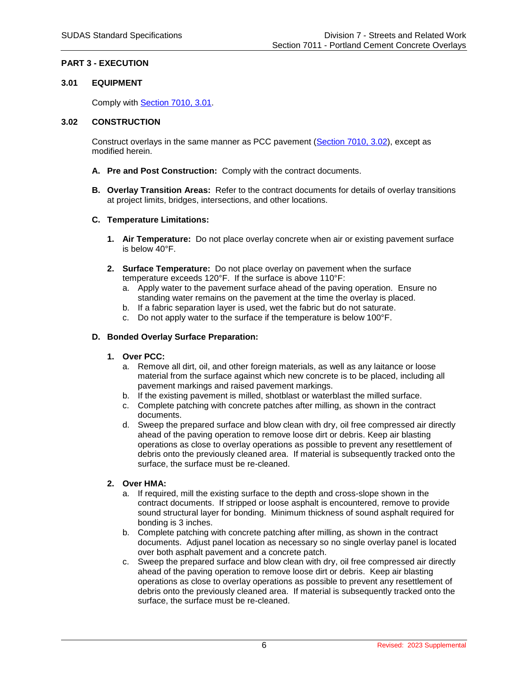# **PART 3 - EXECUTION**

#### **3.01 EQUIPMENT**

Comply with [Section 7010, 3.01.](https://intrans.iastate.edu/app/uploads/sites/15/2020/02/7010.pdf#page=8)

### **3.02 CONSTRUCTION**

Construct overlays in the same manner as PCC pavement [\(Section 7010, 3.02\)](https://intrans.iastate.edu/app/uploads/sites/15/2020/02/7010.pdf#page=11), except as modified herein.

- **A. Pre and Post Construction:** Comply with the contract documents.
- **B. Overlay Transition Areas:** Refer to the contract documents for details of overlay transitions at project limits, bridges, intersections, and other locations.

#### **C. Temperature Limitations:**

- **1. Air Temperature:** Do not place overlay concrete when air or existing pavement surface is below 40°F.
- **2. Surface Temperature:** Do not place overlay on pavement when the surface temperature exceeds 120°F. If the surface is above 110°F:
	- a. Apply water to the pavement surface ahead of the paving operation. Ensure no standing water remains on the pavement at the time the overlay is placed.
	- b. If a fabric separation layer is used, wet the fabric but do not saturate.
	- c. Do not apply water to the surface if the temperature is below 100°F.

#### **D. Bonded Overlay Surface Preparation:**

#### **1. Over PCC:**

- a. Remove all dirt, oil, and other foreign materials, as well as any laitance or loose material from the surface against which new concrete is to be placed, including all pavement markings and raised pavement markings.
- b. If the existing pavement is milled, shotblast or waterblast the milled surface.
- c. Complete patching with concrete patches after milling, as shown in the contract documents.
- d. Sweep the prepared surface and blow clean with dry, oil free compressed air directly ahead of the paving operation to remove loose dirt or debris. Keep air blasting operations as close to overlay operations as possible to prevent any resettlement of debris onto the previously cleaned area. If material is subsequently tracked onto the surface, the surface must be re-cleaned.

#### **2. Over HMA:**

- a. If required, mill the existing surface to the depth and cross-slope shown in the contract documents. If stripped or loose asphalt is encountered, remove to provide sound structural layer for bonding. Minimum thickness of sound asphalt required for bonding is 3 inches.
- b. Complete patching with concrete patching after milling, as shown in the contract documents. Adjust panel location as necessary so no single overlay panel is located over both asphalt pavement and a concrete patch.
- c. Sweep the prepared surface and blow clean with dry, oil free compressed air directly ahead of the paving operation to remove loose dirt or debris. Keep air blasting operations as close to overlay operations as possible to prevent any resettlement of debris onto the previously cleaned area. If material is subsequently tracked onto the surface, the surface must be re-cleaned.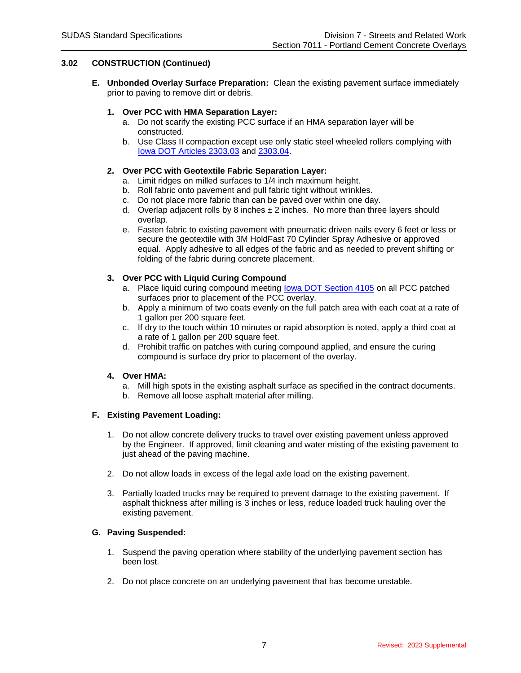# **3.02 CONSTRUCTION (Continued)**

**E. Unbonded Overlay Surface Preparation:** Clean the existing pavement surface immediately prior to paving to remove dirt or debris.

# **1. Over PCC with HMA Separation Layer:**

- a. Do not scarify the existing PCC surface if an HMA separation layer will be constructed.
- b. Use Class II compaction except use only static steel wheeled rollers complying with [Iowa DOT Articles 2303.03](https://www.iowadot.gov/erl/current/GS/content/2303.htm#Section230303) and [2303.04.](https://www.iowadot.gov/erl/current/GS/content/2303.htm#Section230304)

# **2. Over PCC with Geotextile Fabric Separation Layer:**

- a. Limit ridges on milled surfaces to 1/4 inch maximum height.
- b. Roll fabric onto pavement and pull fabric tight without wrinkles.
- c. Do not place more fabric than can be paved over within one day.
- d. Overlap adjacent rolls by 8 inches  $\pm 2$  inches. No more than three layers should overlap.
- e. Fasten fabric to existing pavement with pneumatic driven nails every 6 feet or less or secure the geotextile with 3M HoldFast 70 Cylinder Spray Adhesive or approved equal. Apply adhesive to all edges of the fabric and as needed to prevent shifting or folding of the fabric during concrete placement.

# **3. Over PCC with Liquid Curing Compound**

- a. Place liquid curing compound meeting lowa DOT Section 4105 on all PCC patched surfaces prior to placement of the PCC overlay.
- b. Apply a minimum of two coats evenly on the full patch area with each coat at a rate of 1 gallon per 200 square feet.
- c. If dry to the touch within 10 minutes or rapid absorption is noted, apply a third coat at a rate of 1 gallon per 200 square feet.
- d. Prohibit traffic on patches with curing compound applied, and ensure the curing compound is surface dry prior to placement of the overlay.

#### **4. Over HMA:**

- a. Mill high spots in the existing asphalt surface as specified in the contract documents.
- b. Remove all loose asphalt material after milling.

#### **F. Existing Pavement Loading:**

- 1. Do not allow concrete delivery trucks to travel over existing pavement unless approved by the Engineer. If approved, limit cleaning and water misting of the existing pavement to just ahead of the paving machine.
- 2. Do not allow loads in excess of the legal axle load on the existing pavement.
- 3. Partially loaded trucks may be required to prevent damage to the existing pavement. If asphalt thickness after milling is 3 inches or less, reduce loaded truck hauling over the existing pavement.

# **G. Paving Suspended:**

- 1. Suspend the paving operation where stability of the underlying pavement section has been lost.
- 2. Do not place concrete on an underlying pavement that has become unstable.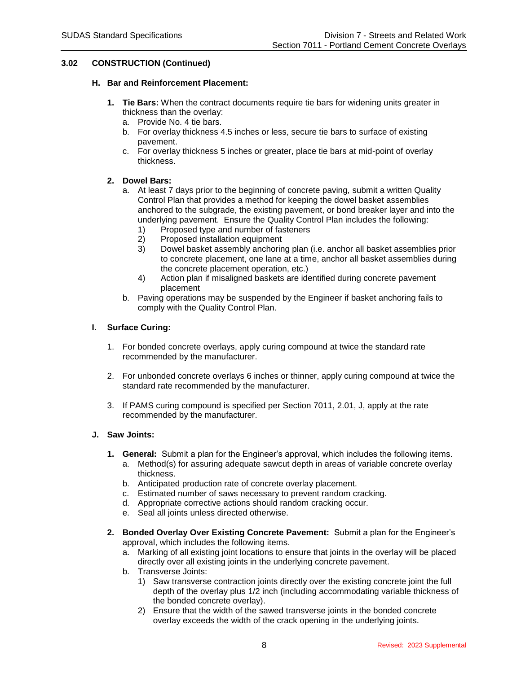## **3.02 CONSTRUCTION (Continued)**

#### **H. Bar and Reinforcement Placement:**

- **1. Tie Bars:** When the contract documents require tie bars for widening units greater in thickness than the overlay:
	- a. Provide No. 4 tie bars.
	- b. For overlay thickness 4.5 inches or less, secure tie bars to surface of existing pavement.
	- c. For overlay thickness 5 inches or greater, place tie bars at mid-point of overlay thickness.

# **2. Dowel Bars:**

- a. At least 7 days prior to the beginning of concrete paving, submit a written Quality Control Plan that provides a method for keeping the dowel basket assemblies anchored to the subgrade, the existing pavement, or bond breaker layer and into the underlying pavement. Ensure the Quality Control Plan includes the following:
	- 1) Proposed type and number of fasteners<br>2) Proposed installation equipment
	- 2) Proposed installation equipment
	- 3) Dowel basket assembly anchoring plan (i.e. anchor all basket assemblies prior to concrete placement, one lane at a time, anchor all basket assemblies during the concrete placement operation, etc.)
	- 4) Action plan if misaligned baskets are identified during concrete pavement placement
- b. Paving operations may be suspended by the Engineer if basket anchoring fails to comply with the Quality Control Plan.

#### **I. Surface Curing:**

- 1. For bonded concrete overlays, apply curing compound at twice the standard rate recommended by the manufacturer.
- 2. For unbonded concrete overlays 6 inches or thinner, apply curing compound at twice the standard rate recommended by the manufacturer.
- 3. If PAMS curing compound is specified per Section 7011, 2.01, J, apply at the rate recommended by the manufacturer.

# **J. Saw Joints:**

- **1. General:** Submit a plan for the Engineer's approval, which includes the following items.
	- a. Method(s) for assuring adequate sawcut depth in areas of variable concrete overlay thickness.
	- b. Anticipated production rate of concrete overlay placement.
	- c. Estimated number of saws necessary to prevent random cracking.
	- d. Appropriate corrective actions should random cracking occur.
	- e. Seal all joints unless directed otherwise.
- **2. Bonded Overlay Over Existing Concrete Pavement:** Submit a plan for the Engineer's approval, which includes the following items.
	- a. Marking of all existing joint locations to ensure that joints in the overlay will be placed directly over all existing joints in the underlying concrete pavement.
	- b. Transverse Joints:
		- 1) Saw transverse contraction joints directly over the existing concrete joint the full depth of the overlay plus 1/2 inch (including accommodating variable thickness of the bonded concrete overlay).
		- 2) Ensure that the width of the sawed transverse joints in the bonded concrete overlay exceeds the width of the crack opening in the underlying joints.